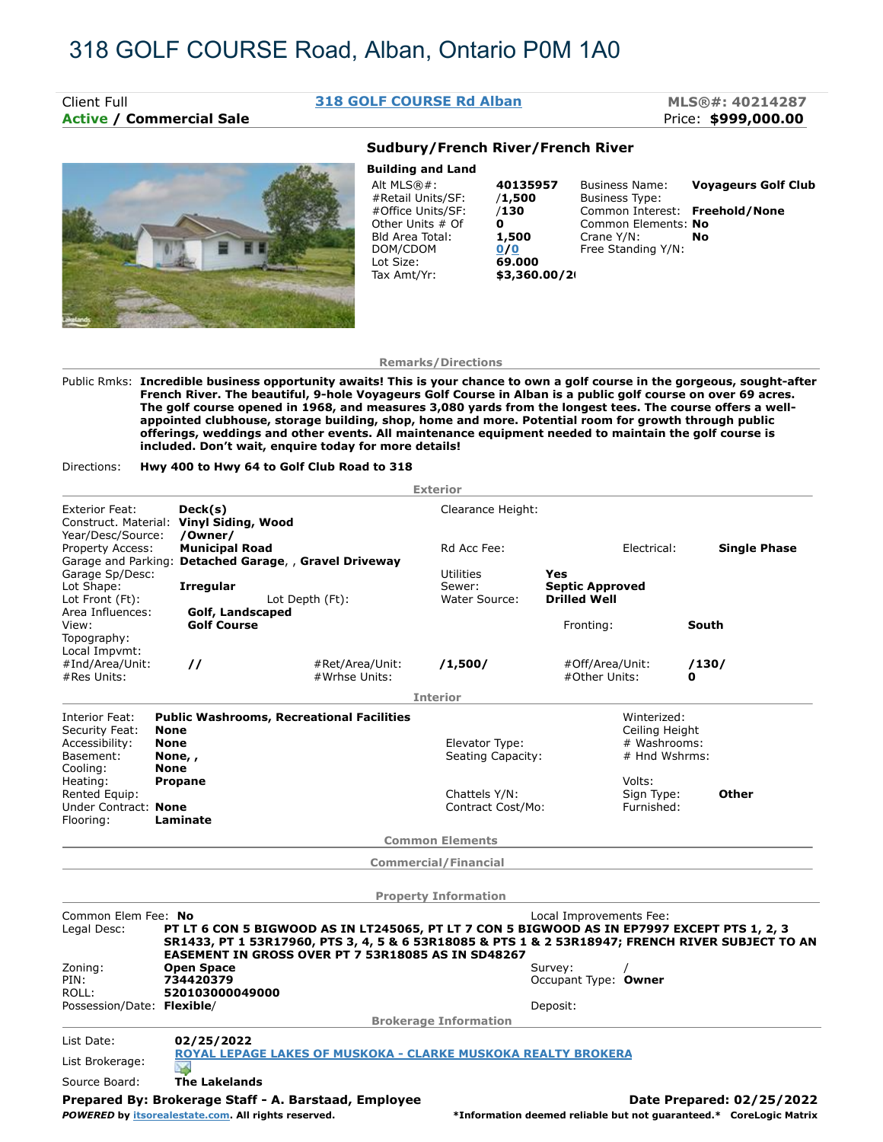# **Active / Commercial Sale Price: \$999,000.00**

### Client Full **318 GOLF COURSE Rd Alban MLS®#: 40214287**

**Building and Land**



## **Sudbury/French River/French River**

| <b>Bullaing and Land</b> |               |                                |                            |
|--------------------------|---------------|--------------------------------|----------------------------|
| Alt $MLS@#$ :            | 40135957      | <b>Business Name:</b>          | <b>Voyageurs Golf Club</b> |
| #Retail Units/SF:        | /1,500        | <b>Business Type:</b>          |                            |
| #Office Units/SF:        | /130          | Common Interest: Freehold/None |                            |
| Other Units # Of         | 0             | Common Elements: No            |                            |
| Bld Area Total:          | 1,500         | Crane Y/N:                     | No                         |
| DOM/CDOM                 | 0/0           | Free Standing Y/N:             |                            |
| Lot Size:                | 69.000        |                                |                            |
| Tax Amt/Yr:              | \$3,360.00/20 |                                |                            |
|                          |               |                                |                            |

### **Remarks/Directions**

Public Rmks: **Incredible business opportunity awaits! This is your chance to own a golf course in the gorgeous, sought-after French River. The beautiful, 9-hole Voyageurs Golf Course in Alban is a public golf course on over 69 acres. The golf course opened in 1968, and measures 3,080 yards from the longest tees. The course offers a wellappointed clubhouse, storage building, shop, home and more. Potential room for growth through public offerings, weddings and other events. All maintenance equipment needed to maintain the golf course is included. Don't wait, enquire today for more details!**

Directions: **Hwy 400 to Hwy 64 to Golf Club Road to 318**

|                                                                                       |                                                                 |                                                                                                                                                                                                                                                       | <b>Exterior</b>                             |                                                      |                                    |                                                                    |  |  |  |
|---------------------------------------------------------------------------------------|-----------------------------------------------------------------|-------------------------------------------------------------------------------------------------------------------------------------------------------------------------------------------------------------------------------------------------------|---------------------------------------------|------------------------------------------------------|------------------------------------|--------------------------------------------------------------------|--|--|--|
| <b>Exterior Feat:</b><br>Construct. Material: Vinyl Siding, Wood<br>Year/Desc/Source: | Deck(s)<br>/Owner/                                              |                                                                                                                                                                                                                                                       | Clearance Height:                           |                                                      |                                    |                                                                    |  |  |  |
| Property Access:                                                                      | <b>Municipal Road</b>                                           | Garage and Parking: Detached Garage, , Gravel Driveway                                                                                                                                                                                                | Rd Acc Fee:                                 | Electrical:                                          |                                    | <b>Single Phase</b>                                                |  |  |  |
| Garage Sp/Desc:<br>Lot Shape:<br>Lot Front (Ft):                                      | <b>Irregular</b>                                                | Lot Depth (Ft):                                                                                                                                                                                                                                       | <b>Utilities</b><br>Sewer:<br>Water Source: | Yes<br><b>Septic Approved</b><br><b>Drilled Well</b> |                                    |                                                                    |  |  |  |
| Area Influences:<br>View:<br>Topography:                                              | <b>Golf Course</b>                                              | Golf, Landscaped                                                                                                                                                                                                                                      |                                             | Fronting:                                            |                                    | South                                                              |  |  |  |
| Local Impvmt:<br>#Ind/Area/Unit:<br>#Res Units:                                       | $\prime\prime$                                                  | #Ret/Area/Unit:<br>#Wrhse Units:                                                                                                                                                                                                                      | /1,500/                                     | #Off/Area/Unit:<br>#Other Units:                     |                                    | /130/<br>0                                                         |  |  |  |
|                                                                                       |                                                                 |                                                                                                                                                                                                                                                       | <b>Interior</b>                             |                                                      |                                    |                                                                    |  |  |  |
| Interior Feat:<br>Security Feat:                                                      | <b>Public Washrooms, Recreational Facilities</b><br><b>None</b> |                                                                                                                                                                                                                                                       |                                             |                                                      | Winterized:<br>Ceiling Height      |                                                                    |  |  |  |
| Accessibility:<br>Basement:<br>Cooling:                                               | <b>None</b><br>None,,<br><b>None</b>                            |                                                                                                                                                                                                                                                       | Elevator Type:<br>Seating Capacity:         |                                                      | # Washrooms:<br># Hnd Wshrms:      |                                                                    |  |  |  |
| Heating:<br>Rented Equip:<br>Under Contract: None                                     | <b>Propane</b>                                                  |                                                                                                                                                                                                                                                       | Chattels Y/N:<br>Contract Cost/Mo           |                                                      | Volts:<br>Sign Type:<br>Furnished: | Other                                                              |  |  |  |
| Flooring:                                                                             | Laminate                                                        |                                                                                                                                                                                                                                                       |                                             |                                                      |                                    |                                                                    |  |  |  |
|                                                                                       | <b>Common Elements</b>                                          |                                                                                                                                                                                                                                                       |                                             |                                                      |                                    |                                                                    |  |  |  |
|                                                                                       |                                                                 |                                                                                                                                                                                                                                                       | <b>Commercial/Financial</b>                 |                                                      |                                    |                                                                    |  |  |  |
|                                                                                       |                                                                 |                                                                                                                                                                                                                                                       | <b>Property Information</b>                 |                                                      |                                    |                                                                    |  |  |  |
| Common Elem Fee: No<br>Legal Desc:                                                    |                                                                 | PT LT 6 CON 5 BIGWOOD AS IN LT245065, PT LT 7 CON 5 BIGWOOD AS IN EP7997 EXCEPT PTS 1, 2, 3<br>SR1433, PT 1 53R17960, PTS 3, 4, 5 & 6 53R18085 & PTS 1 & 2 53R18947; FRENCH RIVER SUBJECT TO AN<br>EASEMENT IN GROSS OVER PT 7 53R18085 AS IN SD48267 |                                             | Local Improvements Fee:                              |                                    |                                                                    |  |  |  |
| Zoning:<br>PIN:<br>ROLL:                                                              | <b>Open Space</b><br>734420379<br>520103000049000               |                                                                                                                                                                                                                                                       |                                             | Survey:<br>Occupant Type: Owner                      |                                    |                                                                    |  |  |  |
| Possession/Date: Flexible/                                                            |                                                                 |                                                                                                                                                                                                                                                       | <b>Brokerage Information</b>                | Deposit:                                             |                                    |                                                                    |  |  |  |
| List Date:                                                                            | 02/25/2022                                                      |                                                                                                                                                                                                                                                       |                                             |                                                      |                                    |                                                                    |  |  |  |
| List Brokerage:                                                                       | NS.                                                             | <b>ROYAL LEPAGE LAKES OF MUSKOKA - CLARKE MUSKOKA REALTY BROKERA</b>                                                                                                                                                                                  |                                             |                                                      |                                    |                                                                    |  |  |  |
| Source Board:                                                                         | <b>The Lakelands</b>                                            |                                                                                                                                                                                                                                                       |                                             |                                                      |                                    |                                                                    |  |  |  |
|                                                                                       |                                                                 | Prepared By: Brokerage Staff - A. Barstaad, Employee                                                                                                                                                                                                  |                                             |                                                      |                                    | Date Prepared: 02/25/2022                                          |  |  |  |
|                                                                                       |                                                                 | POWERED by itsorealestate.com. All rights reserved.                                                                                                                                                                                                   |                                             |                                                      |                                    | *Information deemed reliable but not guaranteed.* CoreLogic Matrix |  |  |  |